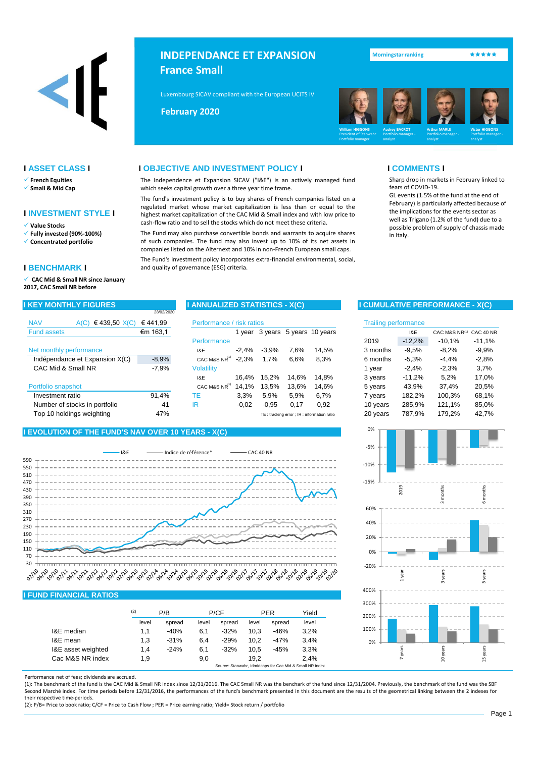

- ✓ **French Equities**
- ✓ **Small & Mid Cap**

## **I INVESTMENT STYLE I**

✓ **Value Stocks**

- ✓ **Fully invested (90%-100%)**
- ✓ **Concentrated portfolio**

## **I BENCHMARK I**

✓ **CAC Mid & Small NR since January 2017, CAC Small NR before**

|                               |                                | 28/02/2020 |                                      |         |         |       |                                           |                             |          |               |           |
|-------------------------------|--------------------------------|------------|--------------------------------------|---------|---------|-------|-------------------------------------------|-----------------------------|----------|---------------|-----------|
| <b>NAV</b>                    | €439,50 X(C)<br>A(C)           | €441,99    | Performance / risk ratios            |         |         |       |                                           | <b>Trailing performance</b> |          |               |           |
| <b>Fund assets</b>            |                                | €m 163,1   |                                      |         |         |       | 1 year 3 years 5 years 10 years           |                             | I&E      | CAC M&S NR(1) | CAC 40 NF |
|                               |                                |            | Performance                          |         |         |       |                                           | 2019                        | $-12,2%$ | $-10,1%$      | $-11,1%$  |
| Net monthly performance       |                                |            | I&E                                  | $-2.4%$ | $-3.9%$ | 7.6%  | 14.5%                                     | 3 months                    | $-9.5%$  | $-8,2%$       | $-9.9%$   |
|                               | Indépendance et Expansion X(C) | $-8.9%$    | CAC M&S $\overline{\text{NR}}^{(1)}$ | $-2.3%$ | 1,7%    | 6,6%  | 8,3%                                      | 6 months                    | $-5.3%$  | $-4,4%$       | $-2.8%$   |
| CAC Mid & Small NR            |                                | $-7.9%$    | <b>Volatility</b>                    |         |         |       |                                           | 1 year                      | $-2.4%$  | $-2,3%$       | 3,7%      |
|                               |                                |            | I&E                                  | 16.4%   | 15.2%   | 14.6% | 14.8%                                     | 3 years                     | $-11,2%$ | 5,2%          | 17,0%     |
| Portfolio snapshot            |                                |            | CAC M&S $NR(1)$                      | 14.1%   | 13.5%   | 13.6% | 14.6%                                     | 5 years                     | 43,9%    | 37,4%         | 20,5%     |
| Investment ratio              |                                | 91,4%      | ТE                                   | 3,3%    | 5,9%    | 5.9%  | 6.7%                                      | 7 years                     | 182,2%   | 100,3%        | 68,1%     |
| Number of stocks in portfolio |                                | 41         | IR                                   | $-0.02$ | $-0.95$ | 0.17  | 0,92                                      | 10 years                    | 285,9%   | 121,1%        | 85,0%     |
| Top 10 holdings weighting     |                                | 47%        |                                      |         |         |       | TE: tracking error: IR: information ratio | 20 years                    | 787.9%   | 179.2%        | 42.7%     |
|                               |                                |            |                                      |         |         |       |                                           |                             |          |               |           |

## **I EVOLUTION OF THE FUND'S NAV OVER 10 YEARS - X(C)**



## **I FUND FINANCIAL RATIOS**

|                    | (2)   | P/B    |       | P/CF                                                     |       | <b>PER</b> |                |  |  |  |
|--------------------|-------|--------|-------|----------------------------------------------------------|-------|------------|----------------|--|--|--|
|                    | level | spread | level | spread                                                   | level | spread     | Yield<br>level |  |  |  |
| I&E median         | 1,1   | $-40%$ | 6,1   | $-32%$                                                   | 10.3  | -46%       | 3.2%           |  |  |  |
| I&E mean           | 1,3   | $-31%$ | 6.4   | $-29%$                                                   | 10.2  | $-47%$     | 3.4%           |  |  |  |
| I&E asset weighted | 1.4   | $-24%$ | 6.1   | $-32%$                                                   | 10.5  | $-45%$     | 3.3%           |  |  |  |
| Cac M&S NR index   | 1.9   |        | 9.0   |                                                          | 19.2  |            | 2.4%           |  |  |  |
|                    |       |        |       | Source: Stanwahr, Idmidcaps for Cac Mid & Small NR index |       |            |                |  |  |  |

Performance net of fees; dividends are accrued.

(1): The benchmark of the fund is the CAC Mid & Small NR index since 12/31/2016. The CAC Small NR was the benchark of the fund since 12/31/2004. Previously, the benchmark of the fund was the SBF Second Marché index. For time periods before 12/31/2016, the performances of the fund's benchmark presented in this document are the results of the geometrical linking between the 2 indexes for their respective time-periods.

(2): P/B= Price to book ratio; C/CF = Price to Cash Flow ; PER = Price earning ratio; Yield= Stock return / portfolio

# **INDEPENDANCE ET EXPANSION France Small**

Luxembourg SICAV compliant with the European UCITS IV Directive (2009/65/EC)

**Mai 2013 February 2020**



● <mark>Morningstar ranking ★★★★★</mark>

## **I ASSET CLASS I I OBJECTIVE AND INVESTMENT POLICY I I COMMENTS I**

The Independence et Expansion SICAV ("I&E") is an actively managed fund which seeks capital growth over a three year time frame.

The fund's investment policy is to buy shares of French companies listed on a regulated market whose market capitalization is less than or equal to the highest market capitalization of the CAC Mid & Small index and with low price to cash-flow ratio and to sell the stocks which do not meet these criteria.

The Fund may also purchase convertible bonds and warrants to acquire shares of such companies. The fund may also invest up to 10% of its net assets in companies listed on the Alternext and 10% in non-French European small caps.

The Fund's investment policy incorporates extra-financial environmental, social, and quality of governance (ESG) criteria.

Sharp drop in markets in February linked to fears of COVID-19.

GL events (1.5% of the fund at the end of February) is particularly affected because of the implications for the events sector as well as Trigano (1.2% of the fund) due to a possible problem of supply of chassis made in Italy.

## **I KEY MONTHLY FIGURES I ANNUALIZED STATISTICS - X(C) I CUMULATIVE PERFORMANCE - X(C)**

| risk ratios |         |       |                                            |          | <b>Trailing performance</b> |               |           |  |  |  |  |
|-------------|---------|-------|--------------------------------------------|----------|-----------------------------|---------------|-----------|--|--|--|--|
| 1 year      |         |       | 3 years 5 years 10 years                   |          | I&E                         | CAC M&S NR(1) | CAC 40 NR |  |  |  |  |
|             |         |       |                                            | 2019     | $-12,2%$                    | $-10,1%$      | $-11,1%$  |  |  |  |  |
| $-2,4%$     | $-3.9%$ | 7.6%  | 14,5%                                      | 3 months | $-9,5%$                     | $-8,2%$       | $-9.9\%$  |  |  |  |  |
| $-2,3%$     | 1,7%    | 6,6%  | 8,3%                                       | 6 months | $-5.3%$                     | $-4.4%$       | $-2,8%$   |  |  |  |  |
|             |         |       |                                            | 1 year   | $-2,4%$                     | $-2,3%$       | 3,7%      |  |  |  |  |
| 16,4%       | 15,2%   | 14,6% | 14,8%                                      | 3 years  | $-11,2%$                    | 5.2%          | 17,0%     |  |  |  |  |
| 14,1%       | 13,5%   | 13,6% | 14,6%                                      | 5 years  | 43,9%                       | 37,4%         | 20,5%     |  |  |  |  |
| 3,3%        | 5,9%    | 5,9%  | 6,7%                                       | 7 years  | 182,2%                      | 100,3%        | 68,1%     |  |  |  |  |
| $-0.02$     | $-0.95$ | 0.17  | 0.92                                       | 10 years | 285,9%                      | 121,1%        | 85,0%     |  |  |  |  |
|             |         |       | TE: tracking error ; IR: information ratio | 20 years | 787,9%                      | 179,2%        | 42,7%     |  |  |  |  |